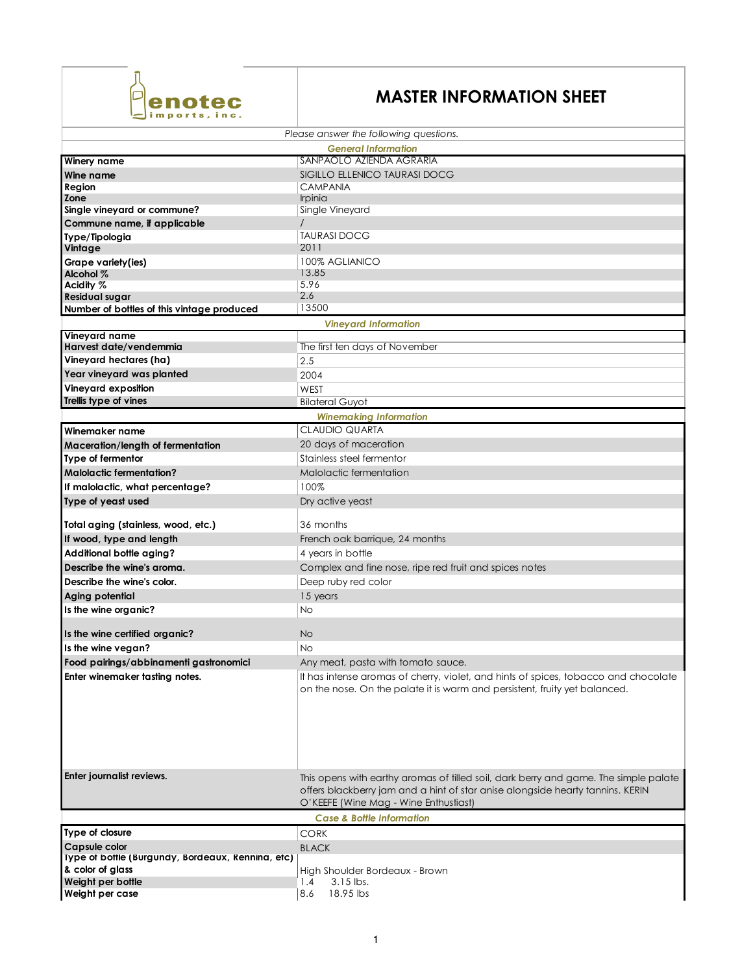

## **MASTER INFORMATION SHEET**

|                                                                       | Please answer the following questions.                                                                                                                                                                          |  |
|-----------------------------------------------------------------------|-----------------------------------------------------------------------------------------------------------------------------------------------------------------------------------------------------------------|--|
| <b>General Information</b>                                            |                                                                                                                                                                                                                 |  |
| Winery name                                                           | SANPAOLO AZIENDA AGRARIA                                                                                                                                                                                        |  |
| Wine name                                                             | SIGILLO ELLENICO TAURASI DOCG                                                                                                                                                                                   |  |
| Region<br>Zone                                                        | <b>CAMPANIA</b>                                                                                                                                                                                                 |  |
| Single vineyard or commune?                                           | <i>Irpinia</i><br>Single Vineyard                                                                                                                                                                               |  |
| Commune name, if applicable                                           |                                                                                                                                                                                                                 |  |
| Type/Tipologia                                                        | <b>TAURASI DOCG</b>                                                                                                                                                                                             |  |
| Vintage                                                               | 2011                                                                                                                                                                                                            |  |
| Grape variety(ies)                                                    | 100% AGLIANICO                                                                                                                                                                                                  |  |
| Alcohol %                                                             | 13.85                                                                                                                                                                                                           |  |
| Acidity %                                                             | 5.96                                                                                                                                                                                                            |  |
| <b>Residual sugar</b>                                                 | 2.6<br>13500                                                                                                                                                                                                    |  |
| Number of bottles of this vintage produced                            | <b>Vineyard Information</b>                                                                                                                                                                                     |  |
| Vineyard name                                                         |                                                                                                                                                                                                                 |  |
| Harvest date/vendemmia                                                | The first ten days of November                                                                                                                                                                                  |  |
| Vineyard hectares (ha)                                                | 2.5                                                                                                                                                                                                             |  |
| Year vineyard was planted                                             | 2004                                                                                                                                                                                                            |  |
| Vineyard exposition                                                   | WEST                                                                                                                                                                                                            |  |
| Trellis type of vines                                                 | <b>Bilateral Guyot</b>                                                                                                                                                                                          |  |
| <b>Winemaking Information</b>                                         |                                                                                                                                                                                                                 |  |
| Winemaker name                                                        | CLAUDIO QUARTA                                                                                                                                                                                                  |  |
| Maceration/length of fermentation                                     | 20 days of maceration                                                                                                                                                                                           |  |
| Type of fermentor                                                     | Stainless steel fermentor                                                                                                                                                                                       |  |
| <b>Malolactic fermentation?</b>                                       | Malolactic fermentation                                                                                                                                                                                         |  |
| If malolactic, what percentage?                                       | 100%                                                                                                                                                                                                            |  |
| Type of yeast used                                                    | Dry active yeast                                                                                                                                                                                                |  |
|                                                                       |                                                                                                                                                                                                                 |  |
| Total aging (stainless, wood, etc.)                                   | 36 months                                                                                                                                                                                                       |  |
| If wood, type and length                                              | French oak barrique, 24 months                                                                                                                                                                                  |  |
| Additional bottle aging?                                              | 4 years in bottle                                                                                                                                                                                               |  |
| Describe the wine's aroma.                                            | Complex and fine nose, ripe red fruit and spices notes                                                                                                                                                          |  |
| Describe the wine's color.                                            | Deep ruby red color                                                                                                                                                                                             |  |
| Aging potential                                                       | 15 years                                                                                                                                                                                                        |  |
| Is the wine organic?                                                  | <b>No</b>                                                                                                                                                                                                       |  |
|                                                                       |                                                                                                                                                                                                                 |  |
| Is the wine certified organic?                                        | No                                                                                                                                                                                                              |  |
| Is the wine vegan?                                                    | <b>No</b>                                                                                                                                                                                                       |  |
| Food pairings/abbinamenti gastronomici                                | Any meat, pasta with tomato sauce.                                                                                                                                                                              |  |
| Enter winemaker tasting notes.                                        | It has intense aromas of cherry, violet, and hints of spices, tobacco and chocolate<br>on the nose. On the palate it is warm and persistent, fruity yet balanced.                                               |  |
| Enter journalist reviews.                                             | This opens with earthy aromas of tilled soil, dark berry and game. The simple palate<br>offers blackberry jam and a hint of star anise alongside hearty tannins. KERIN<br>O'KEEFE (Wine Mag - Wine Enthustiast) |  |
|                                                                       | <b>Case &amp; Bottle Information</b>                                                                                                                                                                            |  |
| Type of closure                                                       | <b>CORK</b>                                                                                                                                                                                                     |  |
| Capsule color                                                         | <b>BLACK</b>                                                                                                                                                                                                    |  |
| Type of bottle (Burgundy, Bordeaux, Rennina, etc)<br>& color of glass | High Shoulder Bordeaux - Brown                                                                                                                                                                                  |  |
| Weight per bottle                                                     | 3.15 lbs.<br>1.4                                                                                                                                                                                                |  |
| Weight per case                                                       | 18.95 lbs<br>8.6                                                                                                                                                                                                |  |